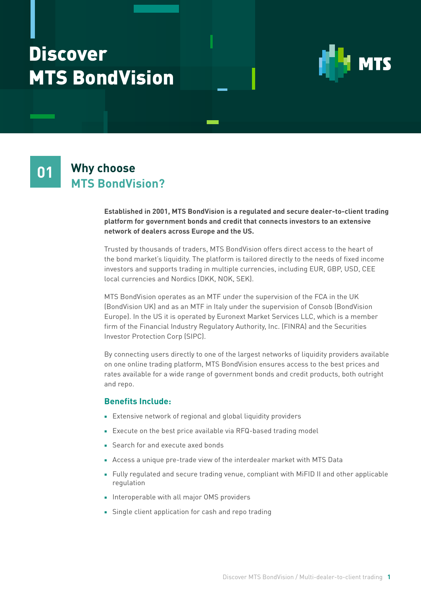## Discover MTS BondVision



#### **Why choose MTS BondVision? 01**

**Established in 2001, MTS BondVision is a regulated and secure dealer-to-client trading platform for government bonds and credit that connects investors to an extensive network of dealers across Europe and the US.** 

Trusted by thousands of traders, MTS BondVision offers direct access to the heart of the bond market's liquidity. The platform is tailored directly to the needs of fixed income investors and supports trading in multiple currencies, including EUR, GBP, USD, CEE local currencies and Nordics (DKK, NOK, SEK).

MTS BondVision operates as an MTF under the supervision of the FCA in the UK (BondVision UK) and as an MTF in Italy under the supervision of Consob (BondVision Europe). In the US it is operated by Euronext Market Services LLC, which is a member firm of the Financial Industry Regulatory Authority, Inc. (FINRA) and the Securities Investor Protection Corp (SIPC).

By connecting users directly to one of the largest networks of liquidity providers available on one online trading platform, MTS BondVision ensures access to the best prices and rates available for a wide range of government bonds and credit products, both outright and repo.

#### **Benefits Include:**

- Extensive network of regional and global liquidity providers
- Execute on the best price available via RFQ-based trading model
- Search for and execute axed bonds
- Access a unique pre-trade view of the interdealer market with MTS Data
- Fully regulated and secure trading venue, compliant with MiFID II and other applicable regulation
- Interoperable with all major OMS providers
- Single client application for cash and repo trading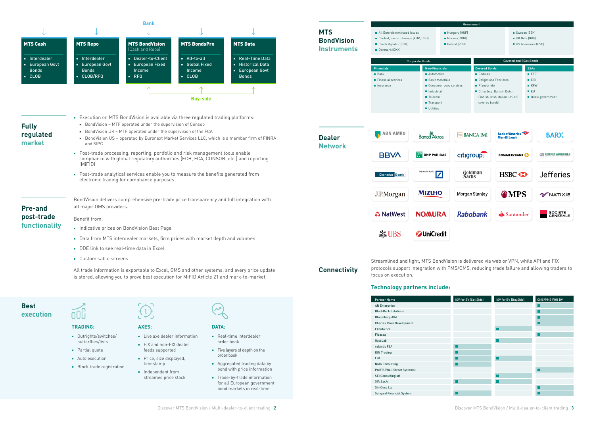**Financials** Bank

Financial services **Insurance** 

**All Euro-denominated issues** ■ Central, Eastern Europe (EUR, USD)

Czech Republic (CZK) Denmark (DKK)

> **Non-Financials Automotive**



Corporate Bonds

**Industrial** ■ Telecom

 $\frac{1}{26}$  UBS **Z**UniCredit

Streamlined and light, MTS BondVision is delivered via web or VPN, while API and FIX protocols support integration with PMS/OMS, reducing trade failure and allowing traders to focus on execution.

#### **Technology partners include:**

| ISV for BV (SellSide) | ISV for BV (BuySide) | OMS/PMS FOR BV |
|-----------------------|----------------------|----------------|
|                       |                      |                |
|                       |                      |                |
|                       |                      | ×.             |
|                       |                      |                |
|                       |                      |                |
|                       |                      |                |
|                       |                      |                |
|                       |                      |                |
|                       |                      |                |
|                       |                      |                |
|                       |                      |                |
|                       |                      |                |
|                       |                      |                |
|                       |                      |                |
|                       |                      |                |
| L.                    |                      |                |
|                       |                      |                |

| <b>Partner Name</b>                 |  |
|-------------------------------------|--|
| <b>AR Enterprise</b>                |  |
| <b>BlackRock Solutions</b>          |  |
| <b>Bloomberg AIM</b>                |  |
| <b>Charles River Development</b>    |  |
| <b>Flidata Srl</b>                  |  |
| Fidessa                             |  |
| GateLab                             |  |
| valantic FSA                        |  |
| <b>ION Trading</b>                  |  |
| I ist                               |  |
| <b>NMK Consulting</b>               |  |
| <b>PreFIS (Wall Street Systems)</b> |  |
| <b>SEI Consulting srl</b>           |  |
| SIA S.p.A.                          |  |
| SimCorp Ltd                         |  |
| <b>Sungard Financial System</b>     |  |
|                                     |  |

■ Outrights/switches/ butterflies/lists

- Partial quote
- Auto execution

■ Block trade registration

■ Live axe dealer information

- FIX and non-FIX dealer feeds supported
- Price, size displayed, timestamp
- Independent from streamed price stack
- Real-time interdealer order book
- Five layers of depth on the order book
- Aggregated trading data by bond with price information
- Trade-by-trade information for all European government bond markets in real-time



■ Transport **Utilities** ABN.AMRO **Banca** Akros **BBVA T** BNP PARIBAS  $\boxed{\mathbf{Z}}$ **Danske Bank** J.P.Morgan **MIZUHO & NatWest NOMURA**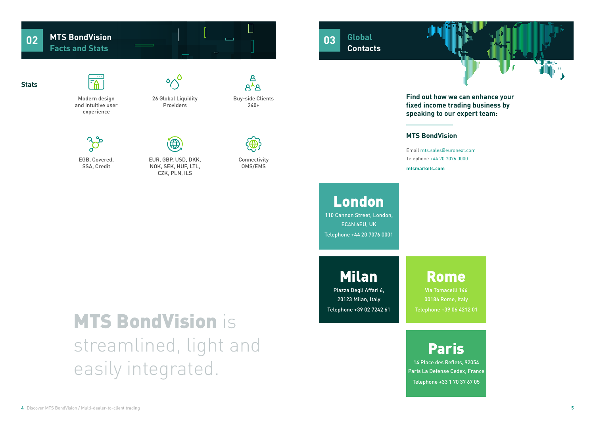

## **MTS BondVision**

Email [mts.sales@euronext.com](mailto:mts.sales%40euronext.com?subject=) Telephone +44 20 7076 0000

**[mtsmarkets.com](http://mtsmarkets.com  )**

### **Global Contacts 03**

**Find out how we can enhance your fixed income trading business by speaking to our expert team:**

## Milan

Piazza Degli Affari 6, 20123 Milan, Italy Telephone +39 02 7242 61

## **Rome**

# **MTS BondVision is** streamlined, light and easily integrated.

#### $\sqcup$ **MTS BondVision 02**  $\qquad \qquad \Box$ **Facts and Stats**

## $F_A$ Modern design



Via Tomacelli 146 00186 Rome, Italy Telephone +39 06 4212 01

 $A^{\overline{\lambda}}A$ Buy-side Clients



## London

110 Cannon Street, London, EC4N 6EU, UK Telephone +44 20 7076 0001

## Paris

14 Place des Reflets, 92054 Paris La Defense Cedex, France Telephone +33 1 70 37 67 05





and intuitive user experience

240+

 $\mathbf{B}$ 

EGB, Covered, SSA, Credit



EUR, GBP, USD, DKK, NOK, SEK, HUF, LTL, CZK, PLN, ILS



Connectivity OMS/EMS